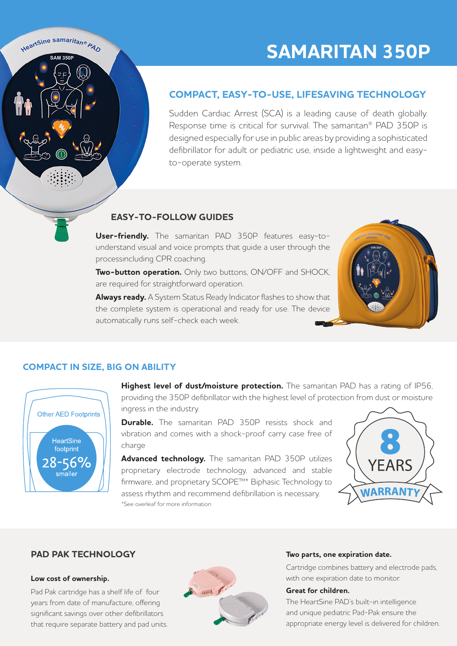

# **SAMARITAN 350P**

## **COMPACT, EASY-TO-USE, LIFESAVING TECHNOLOGY**

Sudden Cardiac Arrest (SCA) is a leading cause of death globally. Response time is critical for survival. The samaritan® PAD 350P is designed especially for use in public areas by providing a sophisticated defibrillator for adult or pediatric use, inside a lightweight and easyto-operate system.

## **EASY-TO-FOLLOW GUIDES**

**User-friendly.** The samaritan PAD 350P features easy-tounderstand visual and voice prompts that guide a user through the processincluding CPR coaching.

**Two-button operation.** Only two buttons, ON/OFF and SHOCK, are required for straightforward operation.

**Always ready.** A System Status Ready Indicator flashes to show that the complete system is operational and ready for use. The device automatically runs self-check each week.



## **COMPACT IN SIZE, BIG ON ABILITY**



**Highest level of dust/moisture protection.** The samaritan PAD has a rating of IP56, providing the 350P defibrillator with the highest level of protection from dust or moisture ingress in the industry.

**Durable.** The samaritan PAD 350P resists shock and vibration and comes with a shock-proof carry case free of charge

**Advanced technology.** The samaritan PAD 350P utilizes proprietary electrode technology, advanced and stable firmware, and proprietary SCOPE™\* Biphasic Technology to assess rhythm and recommend defibrillation is necessary. \*See overleaf for more information



### **PAD PAK TECHNOLOGY**

#### **Low cost of ownership.**

Pad Pak cartridge has a shelf life of four years from date of manufacture, offering significant savings over other defibrillators that require separate battery and pad units.



#### **Two parts, one expiration date.**

Cartridge combines battery and electrode pads, with one expiration date to monitor.

#### **Great for children.**

The HeartSine PAD's built-in intelligence and unique pediatric Pad-Pak ensure the appropriate energy level is delivered for children.